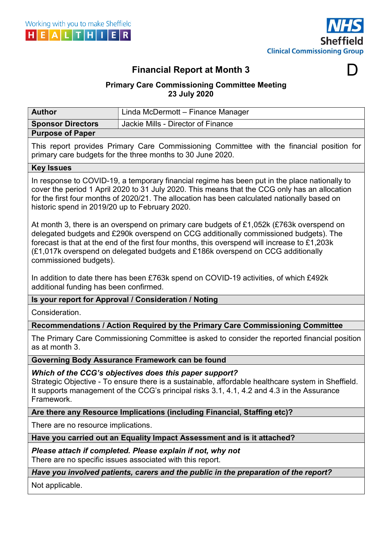



D

# Financial Report at Month 3

### Primary Care Commissioning Committee Meeting 23 July 2020

| <b>Author</b>                                                                                                                                                                                                                                                                                                                                                                                  | Linda McDermott - Finance Manager                                                                                                                                                                                                                          |  |  |
|------------------------------------------------------------------------------------------------------------------------------------------------------------------------------------------------------------------------------------------------------------------------------------------------------------------------------------------------------------------------------------------------|------------------------------------------------------------------------------------------------------------------------------------------------------------------------------------------------------------------------------------------------------------|--|--|
| <b>Sponsor Directors</b>                                                                                                                                                                                                                                                                                                                                                                       | Jackie Mills - Director of Finance                                                                                                                                                                                                                         |  |  |
| <b>Purpose of Paper</b>                                                                                                                                                                                                                                                                                                                                                                        |                                                                                                                                                                                                                                                            |  |  |
| This report provides Primary Care Commissioning Committee with the financial position for<br>primary care budgets for the three months to 30 June 2020.                                                                                                                                                                                                                                        |                                                                                                                                                                                                                                                            |  |  |
| <b>Key Issues</b>                                                                                                                                                                                                                                                                                                                                                                              |                                                                                                                                                                                                                                                            |  |  |
| In response to COVID-19, a temporary financial regime has been put in the place nationally to<br>cover the period 1 April 2020 to 31 July 2020. This means that the CCG only has an allocation<br>for the first four months of 2020/21. The allocation has been calculated nationally based on<br>historic spend in 2019/20 up to February 2020.                                               |                                                                                                                                                                                                                                                            |  |  |
| At month 3, there is an overspend on primary care budgets of £1,052k (£763k overspend on<br>delegated budgets and £290k overspend on CCG additionally commissioned budgets). The<br>forecast is that at the end of the first four months, this overspend will increase to £1,203k<br>(£1,017k overspend on delegated budgets and £186k overspend on CCG additionally<br>commissioned budgets). |                                                                                                                                                                                                                                                            |  |  |
| In addition to date there has been £763k spend on COVID-19 activities, of which £492k<br>additional funding has been confirmed.                                                                                                                                                                                                                                                                |                                                                                                                                                                                                                                                            |  |  |
| Is your report for Approval / Consideration / Noting                                                                                                                                                                                                                                                                                                                                           |                                                                                                                                                                                                                                                            |  |  |
| Consideration.                                                                                                                                                                                                                                                                                                                                                                                 |                                                                                                                                                                                                                                                            |  |  |
|                                                                                                                                                                                                                                                                                                                                                                                                | Recommendations / Action Required by the Primary Care Commissioning Committee                                                                                                                                                                              |  |  |
| as at month 3.                                                                                                                                                                                                                                                                                                                                                                                 | The Primary Care Commissioning Committee is asked to consider the reported financial position                                                                                                                                                              |  |  |
|                                                                                                                                                                                                                                                                                                                                                                                                | Governing Body Assurance Framework can be found                                                                                                                                                                                                            |  |  |
| Framework.                                                                                                                                                                                                                                                                                                                                                                                     | Which of the CCG's objectives does this paper support?<br>Strategic Objective - To ensure there is a sustainable, affordable healthcare system in Sheffield.<br>It supports management of the CCG's principal risks 3.1, 4.1, 4.2 and 4.3 in the Assurance |  |  |
|                                                                                                                                                                                                                                                                                                                                                                                                | Are there any Resource Implications (including Financial, Staffing etc)?                                                                                                                                                                                   |  |  |
| There are no resource implications.                                                                                                                                                                                                                                                                                                                                                            |                                                                                                                                                                                                                                                            |  |  |
| Have you carried out an Equality Impact Assessment and is it attached?                                                                                                                                                                                                                                                                                                                         |                                                                                                                                                                                                                                                            |  |  |
| Please attach if completed. Please explain if not, why not<br>There are no specific issues associated with this report.                                                                                                                                                                                                                                                                        |                                                                                                                                                                                                                                                            |  |  |
| Have you involved patients, carers and the public in the preparation of the report?                                                                                                                                                                                                                                                                                                            |                                                                                                                                                                                                                                                            |  |  |
| Not applicable.                                                                                                                                                                                                                                                                                                                                                                                |                                                                                                                                                                                                                                                            |  |  |
|                                                                                                                                                                                                                                                                                                                                                                                                |                                                                                                                                                                                                                                                            |  |  |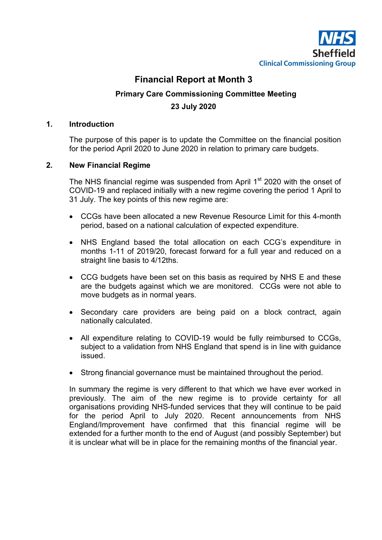

# Financial Report at Month 3

### Primary Care Commissioning Committee Meeting 23 July 2020

#### 1. Introduction

The purpose of this paper is to update the Committee on the financial position for the period April 2020 to June 2020 in relation to primary care budgets.

#### 2. New Financial Regime

The NHS financial regime was suspended from April  $1<sup>st</sup>$  2020 with the onset of COVID-19 and replaced initially with a new regime covering the period 1 April to 31 July. The key points of this new regime are:

- CCGs have been allocated a new Revenue Resource Limit for this 4-month period, based on a national calculation of expected expenditure.
- NHS England based the total allocation on each CCG's expenditure in months 1-11 of 2019/20, forecast forward for a full year and reduced on a straight line basis to 4/12ths.
- CCG budgets have been set on this basis as required by NHS E and these are the budgets against which we are monitored. CCGs were not able to move budgets as in normal years.
- Secondary care providers are being paid on a block contract, again nationally calculated.
- All expenditure relating to COVID-19 would be fully reimbursed to CCGs, subject to a validation from NHS England that spend is in line with guidance issued.
- Strong financial governance must be maintained throughout the period.

In summary the regime is very different to that which we have ever worked in previously. The aim of the new regime is to provide certainty for all organisations providing NHS-funded services that they will continue to be paid for the period April to July 2020. Recent announcements from NHS England/Improvement have confirmed that this financial regime will be extended for a further month to the end of August (and possibly September) but it is unclear what will be in place for the remaining months of the financial year.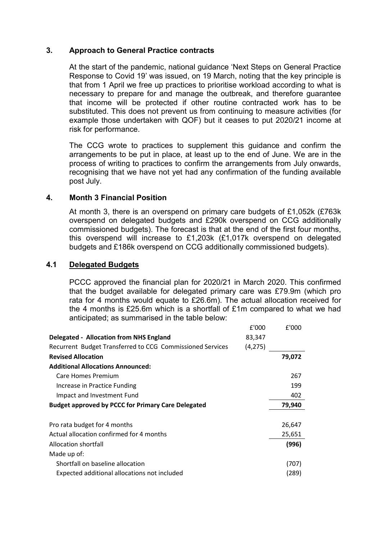#### 3. Approach to General Practice contracts

At the start of the pandemic, national guidance 'Next Steps on General Practice Response to Covid 19' was issued, on 19 March, noting that the key principle is that from 1 April we free up practices to prioritise workload according to what is necessary to prepare for and manage the outbreak, and therefore guarantee that income will be protected if other routine contracted work has to be substituted. This does not prevent us from continuing to measure activities (for example those undertaken with QOF) but it ceases to put 2020/21 income at risk for performance.

The CCG wrote to practices to supplement this guidance and confirm the arrangements to be put in place, at least up to the end of June. We are in the process of writing to practices to confirm the arrangements from July onwards, recognising that we have not yet had any confirmation of the funding available post July.

#### 4. Month 3 Financial Position

At month 3, there is an overspend on primary care budgets of £1,052k (£763k overspend on delegated budgets and £290k overspend on CCG additionally commissioned budgets). The forecast is that at the end of the first four months, this overspend will increase to £1,203k (£1,017k overspend on delegated budgets and £186k overspend on CCG additionally commissioned budgets).

#### 4.1 Delegated Budgets

PCCC approved the financial plan for 2020/21 in March 2020. This confirmed that the budget available for delegated primary care was £79.9m (which pro rata for 4 months would equate to £26.6m). The actual allocation received for the 4 months is £25.6m which is a shortfall of £1m compared to what we had anticipated; as summarised in the table below:

|                                                           | £'000    | £'000  |
|-----------------------------------------------------------|----------|--------|
| <b>Delegated - Allocation from NHS England</b>            | 83,347   |        |
| Recurrent Budget Transferred to CCG Commissioned Services | (4, 275) |        |
| <b>Revised Allocation</b>                                 |          | 79,072 |
| <b>Additional Allocations Announced:</b>                  |          |        |
| Care Homes Premium                                        |          | 267    |
| Increase in Practice Funding                              |          | 199    |
| Impact and Investment Fund                                |          | 402    |
| <b>Budget approved by PCCC for Primary Care Delegated</b> |          | 79,940 |
|                                                           |          |        |
| Pro rata budget for 4 months                              |          | 26,647 |
| Actual allocation confirmed for 4 months                  |          | 25,651 |
| Allocation shortfall                                      |          | (996)  |
| Made up of:                                               |          |        |
| Shortfall on baseline allocation                          |          | (707)  |
| Expected additional allocations not included              |          | (289)  |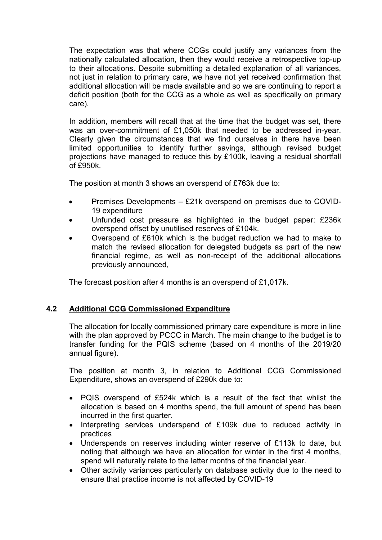The expectation was that where CCGs could justify any variances from the nationally calculated allocation, then they would receive a retrospective top-up to their allocations. Despite submitting a detailed explanation of all variances, not just in relation to primary care, we have not yet received confirmation that additional allocation will be made available and so we are continuing to report a deficit position (both for the CCG as a whole as well as specifically on primary care).

In addition, members will recall that at the time that the budget was set, there was an over-commitment of £1,050k that needed to be addressed in-year. Clearly given the circumstances that we find ourselves in there have been limited opportunities to identify further savings, although revised budget projections have managed to reduce this by £100k, leaving a residual shortfall of £950k.

The position at month 3 shows an overspend of £763k due to:

- Premises Developments £21k overspend on premises due to COVID-19 expenditure
- Unfunded cost pressure as highlighted in the budget paper: £236k overspend offset by unutilised reserves of £104k.
- Overspend of £610k which is the budget reduction we had to make to match the revised allocation for delegated budgets as part of the new financial regime, as well as non-receipt of the additional allocations previously announced,

The forecast position after 4 months is an overspend of £1,017k.

#### 4.2 Additional CCG Commissioned Expenditure

The allocation for locally commissioned primary care expenditure is more in line with the plan approved by PCCC in March. The main change to the budget is to transfer funding for the PQIS scheme (based on 4 months of the 2019/20 annual figure).

The position at month 3, in relation to Additional CCG Commissioned Expenditure, shows an overspend of £290k due to:

- PQIS overspend of £524k which is a result of the fact that whilst the allocation is based on 4 months spend, the full amount of spend has been incurred in the first quarter.
- Interpreting services underspend of £109k due to reduced activity in practices
- Underspends on reserves including winter reserve of £113k to date, but noting that although we have an allocation for winter in the first 4 months, spend will naturally relate to the latter months of the financial year.
- Other activity variances particularly on database activity due to the need to ensure that practice income is not affected by COVID-19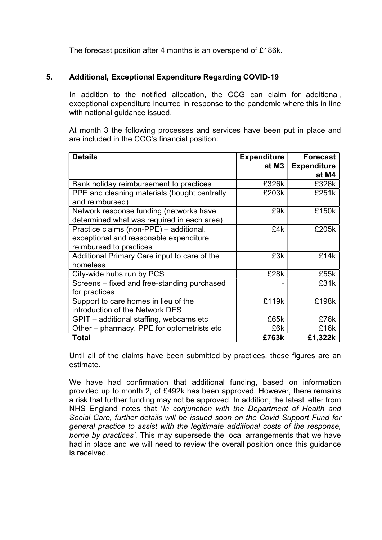The forecast position after 4 months is an overspend of £186k.

#### 5. Additional, Exceptional Expenditure Regarding COVID-19

In addition to the notified allocation, the CCG can claim for additional, exceptional expenditure incurred in response to the pandemic where this in line with national guidance issued.

At month 3 the following processes and services have been put in place and are included in the CCG's financial position:

| <b>Details</b>                               | <b>Expenditure</b> | <b>Forecast</b>    |
|----------------------------------------------|--------------------|--------------------|
|                                              | at M3              | <b>Expenditure</b> |
|                                              |                    | at M4              |
| Bank holiday reimbursement to practices      | £326k              | £326k              |
| PPE and cleaning materials (bought centrally | £203k              | £251k              |
| and reimbursed)                              |                    |                    |
| Network response funding (networks have      | £9k                | £150k              |
| determined what was required in each area)   |                    |                    |
| Practice claims (non-PPE) – additional,      | £4k                | £205k              |
| exceptional and reasonable expenditure       |                    |                    |
| reimbursed to practices                      |                    |                    |
| Additional Primary Care input to care of the | £3k                | £14k               |
| homeless                                     |                    |                    |
| City-wide hubs run by PCS                    | £28k               | £55k               |
| Screens – fixed and free-standing purchased  |                    | £31k               |
| for practices                                |                    |                    |
| Support to care homes in lieu of the         | £119k              | £198k              |
| introduction of the Network DES              |                    |                    |
| GPIT - additional staffing, webcams etc      | £65k               | £76k               |
| Other - pharmacy, PPE for optometrists etc   | £6k                | £16k               |
| <b>Total</b>                                 | £763k              | £1,322k            |

Until all of the claims have been submitted by practices, these figures are an estimate.

We have had confirmation that additional funding, based on information provided up to month 2, of £492k has been approved. However, there remains a risk that further funding may not be approved. In addition, the latest letter from NHS England notes that 'In conjunction with the Department of Health and Social Care, further details will be issued soon on the Covid Support Fund for general practice to assist with the legitimate additional costs of the response, borne by practices'. This may supersede the local arrangements that we have had in place and we will need to review the overall position once this guidance is received.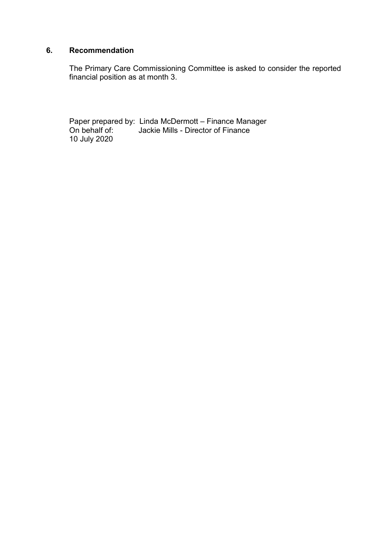#### 6. Recommendation

The Primary Care Commissioning Committee is asked to consider the reported financial position as at month 3.

Paper prepared by: Linda McDermott – Finance Manager On behalf of: Jackie Mills - Director of Finance 10 July 2020